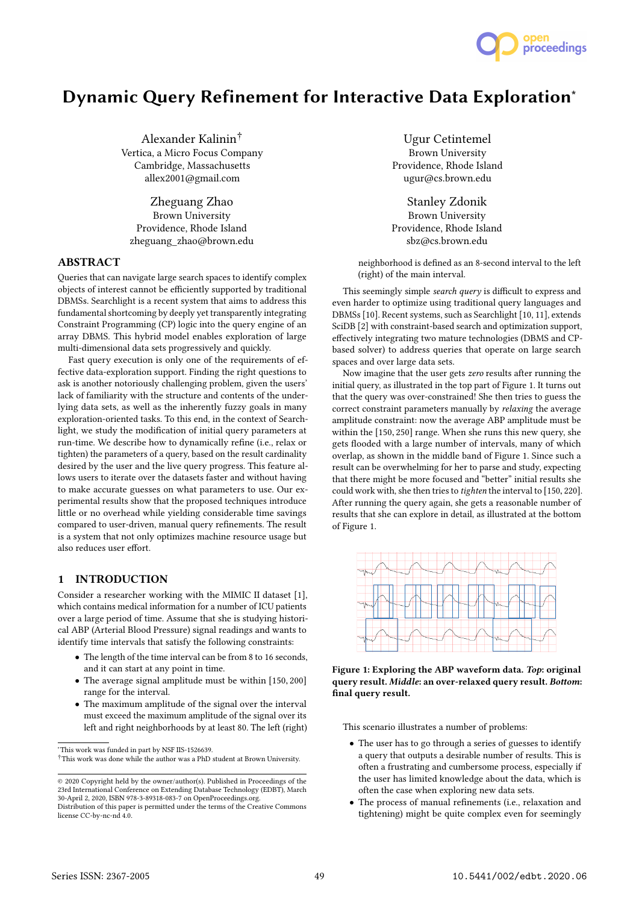

# Dynamic Query Refinement for Interactive Data Exploration<sup>∗</sup>

Alexander Kalinin† Vertica, a Micro Focus Company Cambridge, Massachusetts allex2001@gmail.com

Zheguang Zhao Brown University Providence, Rhode Island zheguang\_zhao@brown.edu

## ABSTRACT

Queries that can navigate large search spaces to identify complex objects of interest cannot be efficiently supported by traditional DBMSs. Searchlight is a recent system that aims to address this fundamental shortcoming by deeply yet transparently integrating Constraint Programming (CP) logic into the query engine of an array DBMS. This hybrid model enables exploration of large multi-dimensional data sets progressively and quickly.

Fast query execution is only one of the requirements of effective data-exploration support. Finding the right questions to ask is another notoriously challenging problem, given the users' lack of familiarity with the structure and contents of the underlying data sets, as well as the inherently fuzzy goals in many exploration-oriented tasks. To this end, in the context of Searchlight, we study the modification of initial query parameters at run-time. We describe how to dynamically refine (i.e., relax or tighten) the parameters of a query, based on the result cardinality desired by the user and the live query progress. This feature allows users to iterate over the datasets faster and without having to make accurate guesses on what parameters to use. Our experimental results show that the proposed techniques introduce little or no overhead while yielding considerable time savings compared to user-driven, manual query refinements. The result is a system that not only optimizes machine resource usage but also reduces user effort.

# 1 INTRODUCTION

Consider a researcher working with the MIMIC II dataset [1], which contains medical information for a number of ICU patients over a large period of time. Assume that she is studying historical ABP (Arterial Blood Pressure) signal readings and wants to identify time intervals that satisfy the following constraints:

- The length of the time interval can be from 8 to 16 seconds, and it can start at any point in time.
- The average signal amplitude must be within [150, <sup>200</sup>] range for the interval.
- The maximum amplitude of the signal over the interval must exceed the maximum amplitude of the signal over its left and right neighborhoods by at least 80. The left (right)

Ugur Cetintemel Brown University Providence, Rhode Island ugur@cs.brown.edu

Stanley Zdonik Brown University Providence, Rhode Island sbz@cs.brown.edu

neighborhood is defined as an 8-second interval to the left (right) of the main interval.

This seemingly simple search query is difficult to express and even harder to optimize using traditional query languages and DBMSs [10]. Recent systems, such as Searchlight [10, 11], extends SciDB [2] with constraint-based search and optimization support, effectively integrating two mature technologies (DBMS and CPbased solver) to address queries that operate on large search spaces and over large data sets.

Now imagine that the user gets zero results after running the initial query, as illustrated in the top part of Figure 1. It turns out that the query was over-constrained! She then tries to guess the correct constraint parameters manually by relaxing the average amplitude constraint: now the average ABP amplitude must be within the [150, <sup>250</sup>] range. When she runs this new query, she gets flooded with a large number of intervals, many of which overlap, as shown in the middle band of Figure 1. Since such a result can be overwhelming for her to parse and study, expecting that there might be more focused and "better" initial results she could work with, she then tries to tighten the interval to [150, <sup>220</sup>]. After running the query again, she gets a reasonable number of results that she can explore in detail, as illustrated at the bottom of Figure 1.



Figure 1: Exploring the ABP waveform data. Top: original query result. Middle: an over-relaxed query result. Bottom: final query result.

This scenario illustrates a number of problems:

- The user has to go through a series of guesses to identify a query that outputs a desirable number of results. This is often a frustrating and cumbersome process, especially if the user has limited knowledge about the data, which is often the case when exploring new data sets.
- The process of manual refinements (i.e., relaxation and tightening) might be quite complex even for seemingly

<sup>∗</sup>This work was funded in part by NSF IIS-1526639.

<sup>†</sup>This work was done while the author was a PhD student at Brown University.

<sup>©</sup> 2020 Copyright held by the owner/author(s). Published in Proceedings of the 23rd International Conference on Extending Database Technology (EDBT), March 30-April 2, 2020, ISBN 978-3-89318-083-7 on OpenProceedings.org.

Distribution of this paper is permitted under the terms of the Creative Commons license CC-by-nc-nd 4.0.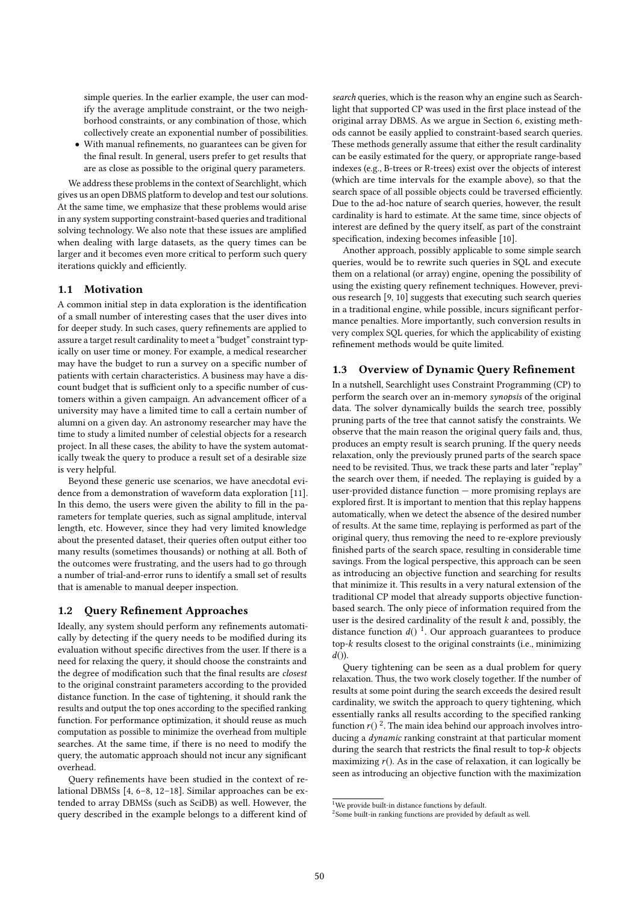simple queries. In the earlier example, the user can modify the average amplitude constraint, or the two neighborhood constraints, or any combination of those, which collectively create an exponential number of possibilities.

• With manual refinements, no guarantees can be given for the final result. In general, users prefer to get results that are as close as possible to the original query parameters.

We address these problems in the context of Searchlight, which gives us an open DBMS platform to develop and test our solutions. At the same time, we emphasize that these problems would arise in any system supporting constraint-based queries and traditional solving technology. We also note that these issues are amplified when dealing with large datasets, as the query times can be larger and it becomes even more critical to perform such query iterations quickly and efficiently.

## 1.1 Motivation

A common initial step in data exploration is the identification of a small number of interesting cases that the user dives into for deeper study. In such cases, query refinements are applied to assure a target result cardinality to meet a "budget" constraint typically on user time or money. For example, a medical researcher may have the budget to run a survey on a specific number of patients with certain characteristics. A business may have a discount budget that is sufficient only to a specific number of customers within a given campaign. An advancement officer of a university may have a limited time to call a certain number of alumni on a given day. An astronomy researcher may have the time to study a limited number of celestial objects for a research project. In all these cases, the ability to have the system automatically tweak the query to produce a result set of a desirable size is very helpful.

Beyond these generic use scenarios, we have anecdotal evidence from a demonstration of waveform data exploration [11]. In this demo, the users were given the ability to fill in the parameters for template queries, such as signal amplitude, interval length, etc. However, since they had very limited knowledge about the presented dataset, their queries often output either too many results (sometimes thousands) or nothing at all. Both of the outcomes were frustrating, and the users had to go through a number of trial-and-error runs to identify a small set of results that is amenable to manual deeper inspection.

### 1.2 Query Refinement Approaches

Ideally, any system should perform any refinements automatically by detecting if the query needs to be modified during its evaluation without specific directives from the user. If there is a need for relaxing the query, it should choose the constraints and the degree of modification such that the final results are closest to the original constraint parameters according to the provided distance function. In the case of tightening, it should rank the results and output the top ones according to the specified ranking function. For performance optimization, it should reuse as much computation as possible to minimize the overhead from multiple searches. At the same time, if there is no need to modify the query, the automatic approach should not incur any significant overhead.

Query refinements have been studied in the context of relational DBMSs [4, 6–8, 12–18]. Similar approaches can be extended to array DBMSs (such as SciDB) as well. However, the query described in the example belongs to a different kind of

search queries, which is the reason why an engine such as Searchlight that supported CP was used in the first place instead of the original array DBMS. As we argue in Section 6, existing methods cannot be easily applied to constraint-based search queries. These methods generally assume that either the result cardinality can be easily estimated for the query, or appropriate range-based indexes (e.g., B-trees or R-trees) exist over the objects of interest (which are time intervals for the example above), so that the search space of all possible objects could be traversed efficiently. Due to the ad-hoc nature of search queries, however, the result cardinality is hard to estimate. At the same time, since objects of interest are defined by the query itself, as part of the constraint specification, indexing becomes infeasible [10].

Another approach, possibly applicable to some simple search queries, would be to rewrite such queries in SQL and execute them on a relational (or array) engine, opening the possibility of using the existing query refinement techniques. However, previous research [9, 10] suggests that executing such search queries in a traditional engine, while possible, incurs significant performance penalties. More importantly, such conversion results in very complex SQL queries, for which the applicability of existing refinement methods would be quite limited.

#### 1.3 Overview of Dynamic Query Refinement

In a nutshell, Searchlight uses Constraint Programming (CP) to perform the search over an in-memory synopsis of the original data. The solver dynamically builds the search tree, possibly pruning parts of the tree that cannot satisfy the constraints. We observe that the main reason the original query fails and, thus, produces an empty result is search pruning. If the query needs relaxation, only the previously pruned parts of the search space need to be revisited. Thus, we track these parts and later "replay" the search over them, if needed. The replaying is guided by a user-provided distance function — more promising replays are explored first. It is important to mention that this replay happens automatically, when we detect the absence of the desired number of results. At the same time, replaying is performed as part of the original query, thus removing the need to re-explore previously finished parts of the search space, resulting in considerable time savings. From the logical perspective, this approach can be seen as introducing an objective function and searching for results that minimize it. This results in a very natural extension of the traditional CP model that already supports objective functionbased search. The only piece of information required from the user is the desired cardinality of the result  $k$  and, possibly, the distance function  $d()$ <sup>1</sup>. Our approach guarantees to produce to the original constraints (i.e., minimizing top-k results closest to the original constraints (i.e., minimizing  $d()$ .

Query tightening can be seen as a dual problem for query relaxation. Thus, the two work closely together. If the number of results at some point during the search exceeds the desired result cardinality, we switch the approach to query tightening, which essentially ranks all results according to the specified ranking function  $r()$ <sup>2</sup>. The main idea behind our approach involves intro-<br>ducing a *dynamic* ranking constraint at that particular moment ducing a dynamic ranking constraint at that particular moment during the search that restricts the final result to top-k objects maximizing  $r()$ . As in the case of relaxation, it can logically be seen as introducing an objective function with the maximization

<sup>&</sup>lt;sup>1</sup>We provide built-in distance functions by default.

<sup>2</sup> Some built-in ranking functions are provided by default as well.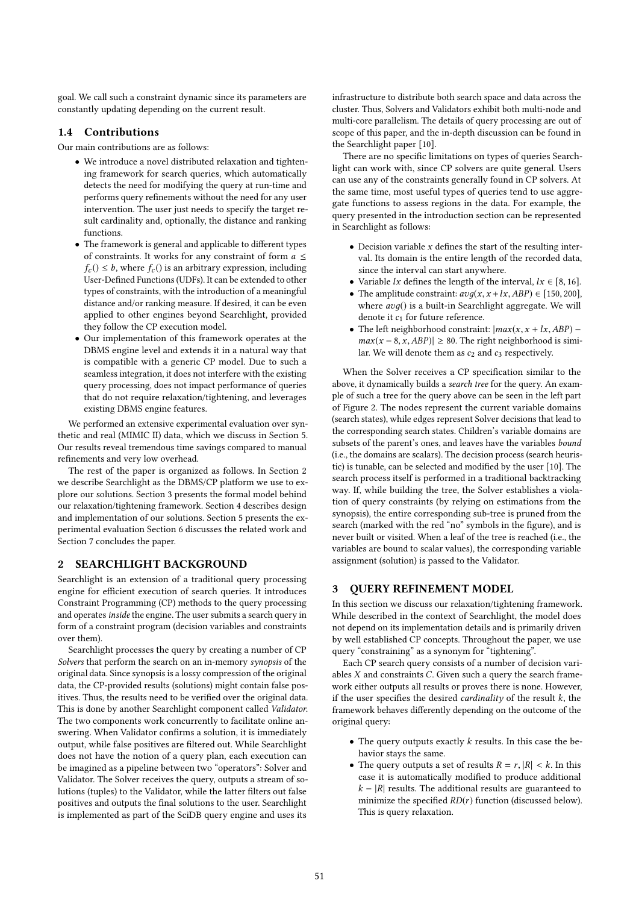goal. We call such a constraint dynamic since its parameters are constantly updating depending on the current result.

# 1.4 Contributions

Our main contributions are as follows:

- We introduce a novel distributed relaxation and tightening framework for search queries, which automatically detects the need for modifying the query at run-time and performs query refinements without the need for any user intervention. The user just needs to specify the target result cardinality and, optionally, the distance and ranking functions.
- The framework is general and applicable to different types of constraints. It works for any constraint of form  $a \leq$  $f_c$ ()  $\leq b$ , where  $f_c$ () is an arbitrary expression, including User-Defined Functions (UDFs). It can be extended to other types of constraints, with the introduction of a meaningful distance and/or ranking measure. If desired, it can be even applied to other engines beyond Searchlight, provided they follow the CP execution model.
- Our implementation of this framework operates at the DBMS engine level and extends it in a natural way that is compatible with a generic CP model. Due to such a seamless integration, it does not interfere with the existing query processing, does not impact performance of queries that do not require relaxation/tightening, and leverages existing DBMS engine features.

We performed an extensive experimental evaluation over synthetic and real (MIMIC II) data, which we discuss in Section 5. Our results reveal tremendous time savings compared to manual refinements and very low overhead.

The rest of the paper is organized as follows. In Section 2 we describe Searchlight as the DBMS/CP platform we use to explore our solutions. Section 3 presents the formal model behind our relaxation/tightening framework. Section 4 describes design and implementation of our solutions. Section 5 presents the experimental evaluation Section 6 discusses the related work and Section 7 concludes the paper.

# 2 SEARCHLIGHT BACKGROUND

Searchlight is an extension of a traditional query processing engine for efficient execution of search queries. It introduces Constraint Programming (CP) methods to the query processing and operates *inside* the engine. The user submits a search query in form of a constraint program (decision variables and constraints over them).

Searchlight processes the query by creating a number of CP Solvers that perform the search on an in-memory synopsis of the original data. Since synopsis is a lossy compression of the original data, the CP-provided results (solutions) might contain false positives. Thus, the results need to be verified over the original data. This is done by another Searchlight component called Validator. The two components work concurrently to facilitate online answering. When Validator confirms a solution, it is immediately output, while false positives are filtered out. While Searchlight does not have the notion of a query plan, each execution can be imagined as a pipeline between two "operators": Solver and Validator. The Solver receives the query, outputs a stream of solutions (tuples) to the Validator, while the latter filters out false positives and outputs the final solutions to the user. Searchlight is implemented as part of the SciDB query engine and uses its

infrastructure to distribute both search space and data across the cluster. Thus, Solvers and Validators exhibit both multi-node and multi-core parallelism. The details of query processing are out of scope of this paper, and the in-depth discussion can be found in the Searchlight paper [10].

There are no specific limitations on types of queries Searchlight can work with, since CP solvers are quite general. Users can use any of the constraints generally found in CP solvers. At the same time, most useful types of queries tend to use aggregate functions to assess regions in the data. For example, the query presented in the introduction section can be represented in Searchlight as follows:

- $\bullet$  Decision variable  $x$  defines the start of the resulting interval. Its domain is the entire length of the recorded data, since the interval can start anywhere.
- Variable *lx* defines the length of the interval,  $lx \in [8, 16]$ .
- The amplitude constraint:  $avg(x, x + lx, ABP) \in [150, 200]$ , where  $avg()$  is a built-in Searchlight aggregate. We will denote it  $c_1$  for future reference.
- The left neighborhood constraint:  $\vert max(x, x + lx, ABP) \vert$  $max(x - 8, x, ABP)| \ge 80$ . The right neighborhood is similar. We will denote them as  $c_2$  and  $c_3$  respectively.

When the Solver receives a CP specification similar to the above, it dynamically builds a search tree for the query. An example of such a tree for the query above can be seen in the left part of Figure 2. The nodes represent the current variable domains (search states), while edges represent Solver decisions that lead to the corresponding search states. Children's variable domains are subsets of the parent's ones, and leaves have the variables bound (i.e., the domains are scalars). The decision process (search heuristic) is tunable, can be selected and modified by the user [10]. The search process itself is performed in a traditional backtracking way. If, while building the tree, the Solver establishes a violation of query constraints (by relying on estimations from the synopsis), the entire corresponding sub-tree is pruned from the search (marked with the red "no" symbols in the figure), and is never built or visited. When a leaf of the tree is reached (i.e., the variables are bound to scalar values), the corresponding variable assignment (solution) is passed to the Validator.

## 3 QUERY REFINEMENT MODEL

In this section we discuss our relaxation/tightening framework. While described in the context of Searchlight, the model does not depend on its implementation details and is primarily driven by well established CP concepts. Throughout the paper, we use query "constraining" as a synonym for "tightening".

Each CP search query consists of a number of decision variables  $X$  and constraints  $C$ . Given such a query the search framework either outputs all results or proves there is none. However, if the user specifies the desired *cardinality* of the result  $k$ , the framework behaves differently depending on the outcome of the original query:

- The query outputs exactly  $k$  results. In this case the behavior stays the same.
- The query outputs a set of results  $R = r$ ,  $|R| < k$ . In this case it is automatically modified to produce additional  $k - |R|$  results. The additional results are guaranteed to minimize the specified  $RD(r)$  function (discussed below). This is query relaxation.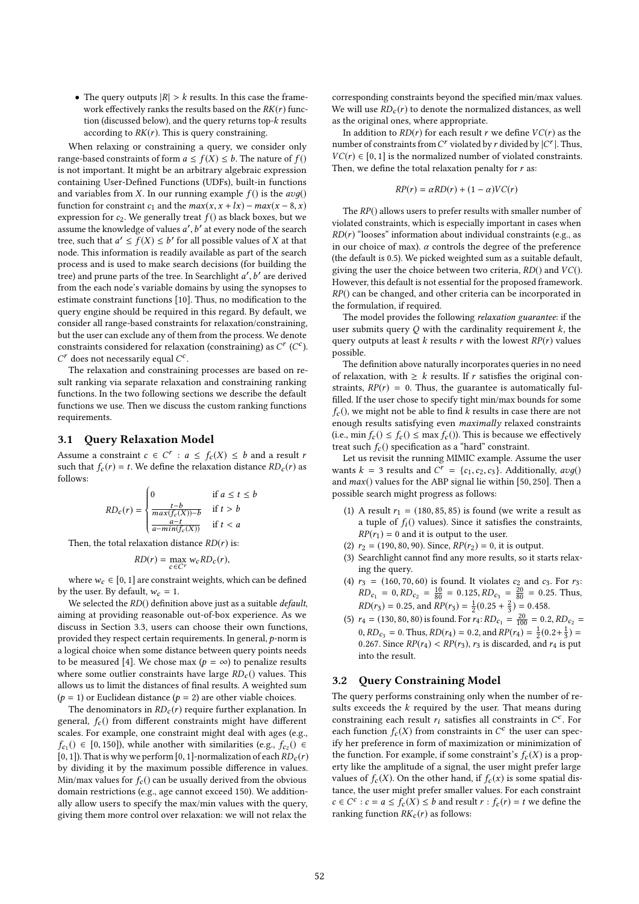• The query outputs  $|R| > k$  results. In this case the framework effectively ranks the results based on the  $RK(r)$  function (discussed below), and the query returns top-k results according to  $RK(r)$ . This is query constraining.

When relaxing or constraining a query, we consider only range-based constraints of form  $a \le f(X) \le b$ . The nature of  $f()$ is not important. It might be an arbitrary algebraic expression containing User-Defined Functions (UDFs), built-in functions and variables from X. In our running example  $f()$  is the  $avg()$ function for constraint  $c_1$  and the  $max(x, x + lx) - max(x - 8, x)$ expression for  $c_2$ . We generally treat  $f()$  as black boxes, but we assume the knowledge of values  $a'$ ,  $b'$  at every node of the search<br>tree, such that  $a' < f(X) < b'$  for all possible values of X at that tree, such that  $a' \le f(X) \le b'$  for all possible values of X at that node. This information is readily available as part of the search node. This information is readily available as part of the search process and is used to make search decisions (for building the tree) and prune parts of the tree. In Searchlight  $a', b'$  are derived<br>from the each node's variable domains by using the synoness to from the each node's variable domains by using the synopses to estimate constraint functions [10]. Thus, no modification to the query engine should be required in this regard. By default, we consider all range-based constraints for relaxation/constraining, but the user can exclude any of them from the process. We denote constraints considered for relaxation (constraining) as  $C^r$  ( $C^c$ ).<br> $C^r$  does not necessarily equal  $C^c$  $C^r$  does not necessarily equal  $C^c$ .<br>The relaxation and constraini

The relaxation and constraining processes are based on result ranking via separate relaxation and constraining ranking functions. In the two following sections we describe the default functions we use. Then we discuss the custom ranking functions requirements.

## 3.1 Query Relaxation Model

Assume a constraint  $c \in C^r : a \leq f_c(X) \leq b$  and a result r<br>such that  $f(r) = t$ . We define the relaxation distance RD (r) as such that  $f_c(r) = t$ . We define the relaxation distance  $RD_c(r)$  as follows:

$$
RD_c(r) = \begin{cases} 0 & \text{if } a \leq t \leq b \\ \frac{t-b}{\max(f_c(X)) - b} & \text{if } t > b \\ \frac{a-t}{a - \min(f_c(X))} & \text{if } t < a \end{cases}
$$

Then, the total relaxation distance  $RD(r)$  is:

$$
RD(r) = \max_{c \in C^r} w_c RD_c(r),
$$

where  $w_c \in [0, 1]$  are constraint weights, which can be defined by the user. By default,  $w_c = 1$ .

We selected the  $RD()$  definition above just as a suitable  $default$ , aiming at providing reasonable out-of-box experience. As we discuss in Section 3.3, users can choose their own functions, provided they respect certain requirements. In general, p-norm is a logical choice when some distance between query points needs to be measured [4]. We chose max ( $p = \infty$ ) to penalize results where some outlier constraints have large  $RD<sub>c</sub>$  () values. This allows us to limit the distances of final results. A weighted sum  $(p = 1)$  or Euclidean distance  $(p = 2)$  are other viable choices.

The denominators in  $RD<sub>c</sub>(r)$  require further explanation. In general,  $f_c()$  from different constraints might have different scales. For example, one constraint might deal with ages (e.g.,  $f_{c_1}$ ()  $\in$  [0, 150]), while another with similarities (e.g.,  $f_{c_2}$ ()  $\in$  [0, 1]). That is why we perform [0, 1]-normalization of each  $RD_c(r)$ <br>by dividing it by the maximum possible difference in values () ∈ [0, 150]), while another with similarities (e.g.,  $f_{c_2}$ () ∈ 1). That is why we perform [0, 1]-pormalization of each *BD* (r) by dividing it by the maximum possible difference in values. Min/max values for  $f_c()$  can be usually derived from the obvious domain restrictions (e.g., age cannot exceed 150). We additionally allow users to specify the max/min values with the query, giving them more control over relaxation: we will not relax the

corresponding constraints beyond the specified min/max values. We will use  $RD<sub>c</sub>(r)$  to denote the normalized distances, as well as the original ones, where appropriate.

In addition to  $RD(r)$  for each result r we define  $VC(r)$  as the number of constraints from  $C^r$  violated by r divided by  $|C^r|$ . Thus,<br> $V_C(r) \in [0, 1]$  is the normalized number of violated constraints  $VC(r) \in [0, 1]$  is the normalized number of violated constraints. Then, we define the total relaxation penalty for  $r$  as:

$$
RP(r) = \alpha RD(r) + (1 - \alpha) VC(r)
$$

The RP() allows users to prefer results with smaller number of violated constraints, which is especially important in cases when  $RD(r)$  "looses" information about individual constraints (e.g., as in our choice of max).  $\alpha$  controls the degree of the preference (the default is 0.5). We picked weighted sum as a suitable default, giving the user the choice between two criteria,  $RD()$  and  $VC()$ . However, this default is not essential for the proposed framework. RP() can be changed, and other criteria can be incorporated in the formulation, if required.

The model provides the following relaxation guarantee: if the user submits query  $Q$  with the cardinality requirement  $k$ , the query outputs at least k results r with the lowest  $RP(r)$  values possible.

The definition above naturally incorporates queries in no need of relaxation, with  $\geq k$  results. If r satisfies the original constraints,  $RP(r) = 0$ . Thus, the guarantee is automatically fulfilled. If the user chose to specify tight min/max bounds for some  $f_c$ (), we might not be able to find k results in case there are not enough results satisfying even maximally relaxed constraints (i.e., min  $f_c() \le f_c() \le \max f_c()$ ). This is because we effectively treat such  $f_c()$  specification as a "hard" constraint.

Let us revisit the running MIMIC example. Assume the user wants  $k = 3$  results and  $C^r = \{c_1, c_2, c_3\}$ . Additionally,  $avg()$ <br>and  $max()$  values for the ABP signal lie within [50, 250]. Then a and  $max()$  values for the ABP signal lie within [50, 250]. Then a possible search might progress as follows:

- (1) A result  $r_1 = (180, 85, 85)$  is found (we write a result as a tuple of  $f_i()$  values). Since it satisfies the constraints,  $RP(r_1) = 0$  and it is output to the user.
- (2)  $r_2 = (190, 80, 90)$ . Since,  $RP(r_2) = 0$ , it is output.
- (3) Searchlight cannot find any more results, so it starts relaxing the query.
- (4)  $r_3 = (160, 70, 60)$  is found. It violates  $c_2$  and  $c_3$ . For  $r_3$ :  $RD_{c_1} = 0, RD_{c_2} = \frac{10}{80} = 0.125, RD_{c_3} = \frac{20}{80} = 0.25$ . Thus,  $RD(r_3) = 0.25$ , and  $RP(r_3) = \frac{1}{2}(0.25 + \frac{2}{3}) = 0.458$ .
- (5)  $r_4 = (130, 80, 80)$  is found. For  $r_4$ :  $RD_{c_1} = \frac{20}{100} = 0.2$ ,  $RD_{c_2} =$ <br> $\frac{0.7D}{2.00} = 0.7$  Flave,  $\frac{0.7D}{2.00} = 0.2$  and  $\frac{0.7D}{2.00} = 1.02$ ,  $\frac{1}{2.00} = 0.2$ 0,  $RD_{C_3} = 0$ . Thus,  $RD(r_4) = 0.2$ , and  $RP(r_4) = \frac{1}{2}(0.2 + \frac{1}{3}) = 0.267$ . Since  $RP(r_1) < PP(r_2)$ , registerated and r, is put 0.267. Since  $RP(r_4) < RP(r_3)$ ,  $r_3$  is discarded, and  $r_4$  is put into the result.

#### 3.2 Query Constraining Model

The query performs constraining only when the number of results exceeds the  $k$  required by the user. That means during constraining each result  $r_i$  satisfies all constraints in  $C^c$ . For<br>each function  $f(X)$  from constraints in  $C^c$  the user can speceach function  $f_c(X)$  from constraints in  $C^c$  the user can spec-<br>if the proference in form of maximization or minimization of ify her preference in form of maximization or minimization of the function. For example, if some constraint's  $f_c(X)$  is a property like the amplitude of a signal, the user might prefer large values of  $f_c(X)$ . On the other hand, if  $f_c(x)$  is some spatial distance, the user might prefer smaller values. For each constraint  $c \in C^c : c = a \le f_c(X) \le b$  and result  $r : f_c(r) = t$  we define the ranking function  $P_K(r)$  as follows: ranking function  $RK_c(r)$  as follows: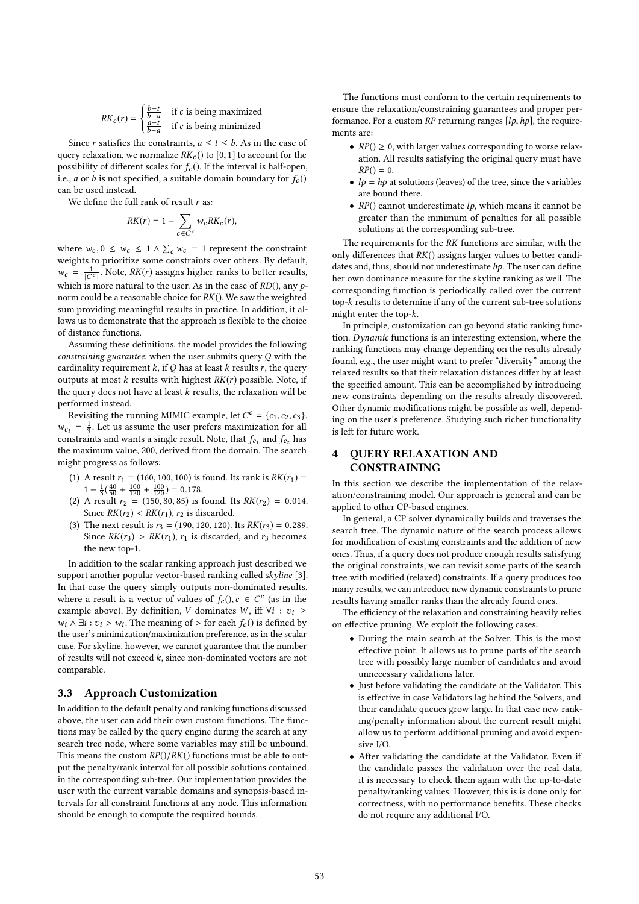$$
RK_c(r) = \begin{cases} \frac{b-t}{b-a} & \text{if } c \text{ is being maximized} \\ \frac{a-t}{b-a} & \text{if } c \text{ is being minimized} \end{cases}
$$

Since r satisfies the constraints,  $a \le t \le b$ . As in the case of query relaxation, we normalize  $RK_c()$  to [0, 1] to account for the possibility of different scales for  $f_c$  (). If the interval is half-open, i.e., *a* or *b* is not specified, a suitable domain boundary for  $f_c()$ can be used instead.

We define the full rank of result  $r$  as:

$$
RK(r) = 1 - \sum_{c \in C^c} w_c R K_c(r),
$$

where  $w_c, 0 \leq w_c \leq 1 \wedge \sum_c w_c = 1$  represent the constraint<br>weights to prioritize some constraints over others. By default weights to prioritize some constraints over others. By default,  $w_c = \frac{1}{|C^c|}$ . Note,  $RK(r)$  assigns higher ranks to better results, which is more natural to the user. As in the case of  $RD()$ , any  $p$ norm could be a reasonable choice for RK(). We saw the weighted sum providing meaningful results in practice. In addition, it allows us to demonstrate that the approach is flexible to the choice of distance functions.

Assuming these definitions, the model provides the following constraining guarantee: when the user submits query Q with the cardinality requirement  $k$ , if  $Q$  has at least  $k$  results  $r$ , the query outputs at most  $k$  results with highest  $RK(r)$  possible. Note, if the query does not have at least  $k$  results, the relaxation will be performed instead.

Revisiting the running MIMIC example, let  $C^c = \{c_1, c_2, c_3\}$ ,<br>  $\begin{bmatrix} -1 & 1 & \text{at } \text{us } 2 & \text{seume} \\ 0 & 0 & \text{seume} \end{bmatrix}$  $w_{ci} = \frac{1}{3}$ . Let us assume the user prefers maximization for all constraints and wants a single result. Note that f and f has constraints and wants a single result. Note, that  $f_{c_1}$  and  $f_{c_2}$  has<br>the maximum value, 200, derived from the domain. The search the maximum value, 200, derived from the domain. The search might progress as follows:

- (1) A result  $r_1 = (160, 100, 100)$  is found. Its rank is  $RK(r_1) =$  $1 - \frac{1}{3}(\frac{40}{50} + \frac{100}{120} + \frac{100}{120}) = 0.178.$ <br>A result  $r_0 = (150, 80, 85)$  is
- (2) A result  $r_2 = (150, 80, 85)$  is found. Its  $RK(r_2) = 0.014$ . Since  $RK(r_2) < RK(r_1)$ ,  $r_2$  is discarded.
- (3) The next result is  $r_3 = (190, 120, 120)$ . Its  $RK(r_3) = 0.289$ . Since  $RK(r_3) > RK(r_1)$ ,  $r_1$  is discarded, and  $r_3$  becomes the new top-1.

In addition to the scalar ranking approach just described we support another popular vector-based ranking called skyline [3]. In that case the query simply outputs non-dominated results, where a result is a vector of values of  $f_c()$ ,  $c \in C^c$  (as in the example above). By definition V dominates W iff  $\forall i : \exists i > 0$ example above). By definition, V dominates W, iff  $\forall i : v_i \geq$  $w_i \wedge \exists i : v_i > w_i$ . The meaning of > for each  $f_c()$  is defined by the user's minimization (maximization preference as in the scalar the user's minimization/maximization preference, as in the scalar case. For skyline, however, we cannot guarantee that the number of results will not exceed k, since non-dominated vectors are not comparable.

#### 3.3 Approach Customization

In addition to the default penalty and ranking functions discussed above, the user can add their own custom functions. The functions may be called by the query engine during the search at any search tree node, where some variables may still be unbound. This means the custom  $RP() / RK()$  functions must be able to output the penalty/rank interval for all possible solutions contained in the corresponding sub-tree. Our implementation provides the user with the current variable domains and synopsis-based intervals for all constraint functions at any node. This information should be enough to compute the required bounds.

The functions must conform to the certain requirements to ensure the relaxation/constraining guarantees and proper performance. For a custom  $RP$  returning ranges  $[lp, hp]$ , the requirements are:

- $RP() \geq 0$ , with larger values corresponding to worse relaxation. All results satisfying the original query must have  $RP() = 0.$
- $lp = hp$  at solutions (leaves) of the tree, since the variables are bound there.
- $RP()$  cannot underestimate  $lp$ , which means it cannot be greater than the minimum of penalties for all possible solutions at the corresponding sub-tree.

The requirements for the RK functions are similar, with the only differences that  $RK()$  assigns larger values to better candidates and, thus, should not underestimate hp. The user can define her own dominance measure for the skyline ranking as well. The corresponding function is periodically called over the current top-k results to determine if any of the current sub-tree solutions might enter the top-k.

In principle, customization can go beyond static ranking function. Dynamic functions is an interesting extension, where the ranking functions may change depending on the results already found, e.g., the user might want to prefer "diversity" among the relaxed results so that their relaxation distances differ by at least the specified amount. This can be accomplished by introducing new constraints depending on the results already discovered. Other dynamic modifications might be possible as well, depending on the user's preference. Studying such richer functionality is left for future work.

# 4 QUERY RELAXATION AND CONSTRAINING

In this section we describe the implementation of the relaxation/constraining model. Our approach is general and can be applied to other CP-based engines.

In general, a CP solver dynamically builds and traverses the search tree. The dynamic nature of the search process allows for modification of existing constraints and the addition of new ones. Thus, if a query does not produce enough results satisfying the original constraints, we can revisit some parts of the search tree with modified (relaxed) constraints. If a query produces too many results, we can introduce new dynamic constraints to prune results having smaller ranks than the already found ones.

The efficiency of the relaxation and constraining heavily relies on effective pruning. We exploit the following cases:

- During the main search at the Solver. This is the most effective point. It allows us to prune parts of the search tree with possibly large number of candidates and avoid unnecessary validations later.
- Just before validating the candidate at the Validator. This is effective in case Validators lag behind the Solvers, and their candidate queues grow large. In that case new ranking/penalty information about the current result might allow us to perform additional pruning and avoid expensive I/O.
- After validating the candidate at the Validator. Even if the candidate passes the validation over the real data, it is necessary to check them again with the up-to-date penalty/ranking values. However, this is is done only for correctness, with no performance benefits. These checks do not require any additional I/O.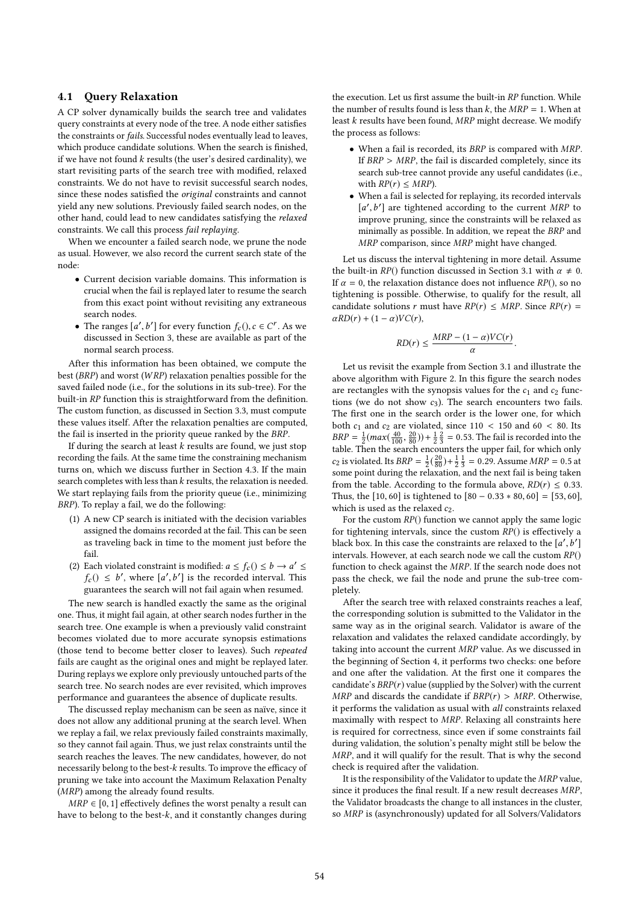## 4.1 Query Relaxation

A CP solver dynamically builds the search tree and validates query constraints at every node of the tree. A node either satisfies the constraints or fails. Successful nodes eventually lead to leaves, which produce candidate solutions. When the search is finished, if we have not found  $k$  results (the user's desired cardinality), we start revisiting parts of the search tree with modified, relaxed constraints. We do not have to revisit successful search nodes, since these nodes satisfied the original constraints and cannot yield any new solutions. Previously failed search nodes, on the other hand, could lead to new candidates satisfying the relaxed constraints. We call this process fail replaying.

When we encounter a failed search node, we prune the node as usual. However, we also record the current search state of the node:

- Current decision variable domains. This information is crucial when the fail is replayed later to resume the search from this exact point without revisiting any extraneous search nodes.
- The ranges  $[a', b']$  for every function  $f_c()$ ,  $c \in C^r$ . As we discussed in Section 3, these are available as part of the discussed in Section 3, these are available as part of the normal search process.

After this information has been obtained, we compute the best (BRP) and worst (W RP) relaxation penalties possible for the saved failed node (i.e., for the solutions in its sub-tree). For the built-in RP function this is straightforward from the definition. The custom function, as discussed in Section 3.3, must compute these values itself. After the relaxation penalties are computed, the fail is inserted in the priority queue ranked by the BRP.

If during the search at least  $k$  results are found, we just stop recording the fails. At the same time the constraining mechanism turns on, which we discuss further in Section 4.3. If the main search completes with less than  $k$  results, the relaxation is needed. We start replaying fails from the priority queue (i.e., minimizing BRP). To replay a fail, we do the following:

- (1) A new CP search is initiated with the decision variables assigned the domains recorded at the fail. This can be seen as traveling back in time to the moment just before the fail.
- (2) Each violated constraint is modified:  $a \le f_c$  ()  $\le b \to a' \le f_c$  ()  $\le b'$ , where  $[a', b']$  is the recorded interval. This  $f_c() \leq b'$ , where  $[a', b']$  is the recorded interval. This guarantees the search will not fail again when resumed.

The new search is handled exactly the same as the original one. Thus, it might fail again, at other search nodes further in the search tree. One example is when a previously valid constraint becomes violated due to more accurate synopsis estimations (those tend to become better closer to leaves). Such repeated fails are caught as the original ones and might be replayed later. During replays we explore only previously untouched parts of the search tree. No search nodes are ever revisited, which improves performance and guarantees the absence of duplicate results.

The discussed replay mechanism can be seen as naïve, since it does not allow any additional pruning at the search level. When we replay a fail, we relax previously failed constraints maximally, so they cannot fail again. Thus, we just relax constraints until the search reaches the leaves. The new candidates, however, do not necessarily belong to the best-k results. To improve the efficacy of pruning we take into account the Maximum Relaxation Penalty (MRP) among the already found results.

 $MRP \in [0, 1]$  effectively defines the worst penalty a result can have to belong to the best-k, and it constantly changes during the execution. Let us first assume the built-in RP function. While the number of results found is less than  $k$ , the  $MRP = 1$ . When at least  $k$  results have been found,  $MRP$  might decrease. We modify the process as follows:

- When a fail is recorded, its BRP is compared with MRP. If  $BRP > MRP$ , the fail is discarded completely, since its search sub-tree cannot provide any useful candidates (i.e., with  $RP(r) \leq MRP$ ).
- When a fail is selected for replaying, its recorded intervals  $[a', b']$  are tightened according to the current MRP to improve pruning since the constraints will be relaxed as improve pruning, since the constraints will be relaxed as minimally as possible. In addition, we repeat the BRP and MRP comparison, since MRP might have changed.

Let us discuss the interval tightening in more detail. Assume the built-in  $RP()$  function discussed in Section 3.1 with  $\alpha \neq 0$ . If  $\alpha = 0$ , the relaxation distance does not influence  $RP($ ), so no tightening is possible. Otherwise, to qualify for the result, all candidate solutions r must have  $RP(r) \leq MRP$ . Since  $RP(r) =$  $\alpha RD(r) + (1-\alpha) V C(r),$ 

$$
RD(r) \leq \frac{MRP - (1 - \alpha)VC(r)}{\alpha}
$$

Let us revisit the example from Section 3.1 and illustrate the above algorithm with Figure 2. In this figure the search nodes are rectangles with the synopsis values for the  $c_1$  and  $c_2$  functions (we do not show  $c_3$ ). The search encounters two fails. The first one in the search order is the lower one, for which both  $c_1$  and  $c_2$  are violated, since 110 < 150 and 60 < 80. Its  $BRP = \frac{1}{2}(max(\frac{40}{100}, \frac{20}{80})) + \frac{1}{2}\frac{2}{3} = 0.53$ . The fail is recorded into the table. Then the search encounters the upper fail for which only table. Then the search encounters the upper fail, for which only  $c_2$  is violated. Its  $BRP = \frac{1}{2}(\frac{20}{80}) + \frac{1}{2}\frac{1}{3} = 0.29$ . Assume  $MRP = 0.5$  at some point during the relaxation and the next fail is being taken some point during the relaxation, and the next fail is being taken from the table. According to the formula above,  $RD(r) \leq 0.33$ . Thus, the [10, 60] is tightened to  $[80 - 0.33 * 80, 60] = [53, 60]$ , which is used as the relaxed  $c_2$ .

For the custom  $RP()$  function we cannot apply the same logic for tightening intervals, since the custom  $RP()$  is effectively a black box. In this case the constraints are relaxed to the  $[a', b']$ <br>intervals. However, at each search node we call the qustom  $P_{\text{P}}(a)$ intervals. However, at each search node we call the custom  $RP()$ <br>function to check against the *MRP* If the search node does not function to check against the MRP. If the search node does not pass the check, we fail the node and prune the sub-tree completely.

After the search tree with relaxed constraints reaches a leaf, the corresponding solution is submitted to the Validator in the same way as in the original search. Validator is aware of the relaxation and validates the relaxed candidate accordingly, by taking into account the current MRP value. As we discussed in the beginning of Section 4, it performs two checks: one before and one after the validation. At the first one it compares the candidate's  $BRP(r)$  value (supplied by the Solver) with the current MRP and discards the candidate if  $BRP(r) > MRP$ . Otherwise, it performs the validation as usual with all constraints relaxed maximally with respect to MRP. Relaxing all constraints here is required for correctness, since even if some constraints fail during validation, the solution's penalty might still be below the MRP, and it will qualify for the result. That is why the second check is required after the validation.

It is the responsibility of the Validator to update the MRP value, since it produces the final result. If a new result decreases MRP, the Validator broadcasts the change to all instances in the cluster, so MRP is (asynchronously) updated for all Solvers/Validators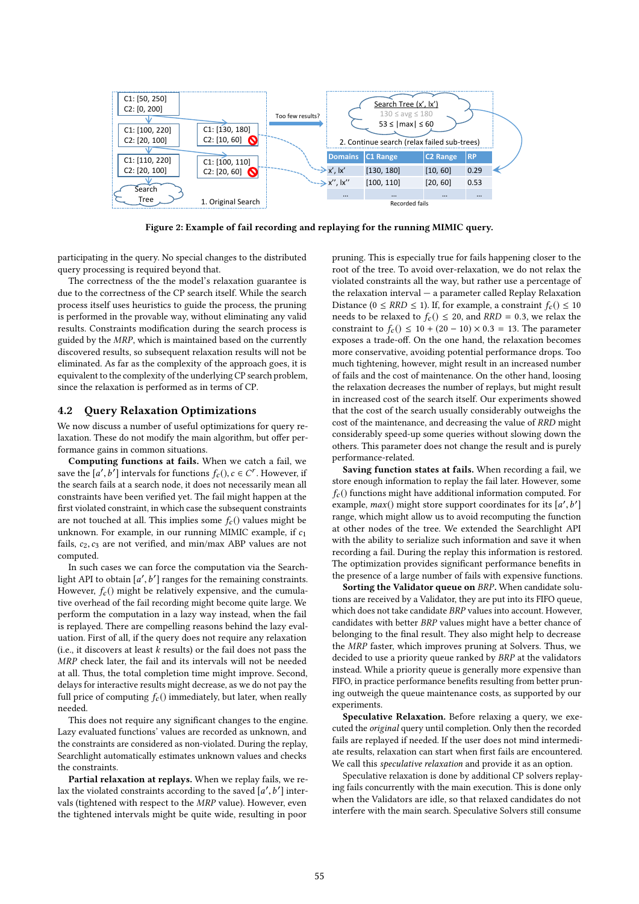

Figure 2: Example of fail recording and replaying for the running MIMIC query.

participating in the query. No special changes to the distributed query processing is required beyond that.

The correctness of the the model's relaxation guarantee is due to the correctness of the CP search itself. While the search process itself uses heuristics to guide the process, the pruning is performed in the provable way, without eliminating any valid results. Constraints modification during the search process is guided by the MRP, which is maintained based on the currently discovered results, so subsequent relaxation results will not be eliminated. As far as the complexity of the approach goes, it is equivalent to the complexity of the underlying CP search problem, since the relaxation is performed as in terms of CP.

## 4.2 Query Relaxation Optimizations

We now discuss a number of useful optimizations for query relaxation. These do not modify the main algorithm, but offer performance gains in common situations.

Computing functions at fails. When we catch a fail, we save the  $[a', b']$  intervals for functions  $f_c()$ ,  $c \in C^r$ . However, if the search fails at a search node, it does not necessarily mean all constraints have been verified yet. The fail might happen at the first violated constraint, in which case the subsequent constraints are not touched at all. This implies some  $f_c()$  values might be unknown. For example, in our running MIMIC example, if  $c_1$ fails,  $c_2, c_3$  are not verified, and min/max ABP values are not computed.

In such cases we can force the computation via the Searchlight API to obtain  $[a', b']$  ranges for the remaining constraints.<br>However,  $f( )$  might be relatively expensive, and the cumula-However,  $f_c()$  might be relatively expensive, and the cumula-<br>Hive overhead of the fail recording might become quite large. We tive overhead of the fail recording might become quite large. We perform the computation in a lazy way instead, when the fail is replayed. There are compelling reasons behind the lazy evaluation. First of all, if the query does not require any relaxation (i.e., it discovers at least  $k$  results) or the fail does not pass the MRP check later, the fail and its intervals will not be needed at all. Thus, the total completion time might improve. Second, delays for interactive results might decrease, as we do not pay the full price of computing  $f_c()$  immediately, but later, when really needed.

This does not require any significant changes to the engine. Lazy evaluated functions' values are recorded as unknown, and the constraints are considered as non-violated. During the replay, Searchlight automatically estimates unknown values and checks the constraints.

Partial relaxation at replays. When we replay fails, we relax the violated constraints according to the saved  $[a', b']$  inter-<br>vals (tightened with respect to the *MPP* value). However, even  $\frac{1}{2}$  vals (tightened with respect to the MRP value). However, even<br>the tightened intervals might be quite wide, resulting in poor the tightened intervals might be quite wide, resulting in poor

pruning. This is especially true for fails happening closer to the root of the tree. To avoid over-relaxation, we do not relax the violated constraints all the way, but rather use a percentage of the relaxation interval — a parameter called Replay Relaxation Distance ( $0 \leq RRD \leq 1$ ). If, for example, a constraint  $f_c() \leq 10$ needs to be relaxed to  $f_c$  ()  $\leq$  20, and *RRD* = 0.3, we relax the constraint to  $f_c$  ()  $\leq 10 + (20 - 10) \times 0.3 = 13$ . The parameter exposes a trade-off. On the one hand, the relaxation becomes more conservative, avoiding potential performance drops. Too much tightening, however, might result in an increased number of fails and the cost of maintenance. On the other hand, loosing the relaxation decreases the number of replays, but might result in increased cost of the search itself. Our experiments showed that the cost of the search usually considerably outweighs the cost of the maintenance, and decreasing the value of RRD might considerably speed-up some queries without slowing down the others. This parameter does not change the result and is purely performance-related.

Saving function states at fails. When recording a fail, we store enough information to replay the fail later. However, some  $f_c$ () functions might have additional information computed. For example,  $max()$  might store support coordinates for its  $[a', b']$ <br>range, which might allow us to avoid recomputing the function range, which might allow us to avoid recomputing the function at other nodes of the tree. We extended the Searchlight API with the ability to serialize such information and save it when recording a fail. During the replay this information is restored. The optimization provides significant performance benefits in the presence of a large number of fails with expensive functions.

Sorting the Validator queue on BRP. When candidate solutions are received by a Validator, they are put into its FIFO queue, which does not take candidate BRP values into account. However, candidates with better BRP values might have a better chance of belonging to the final result. They also might help to decrease the MRP faster, which improves pruning at Solvers. Thus, we decided to use a priority queue ranked by BRP at the validators instead. While a priority queue is generally more expensive than FIFO, in practice performance benefits resulting from better pruning outweigh the queue maintenance costs, as supported by our experiments.

Speculative Relaxation. Before relaxing a query, we executed the original query until completion. Only then the recorded fails are replayed if needed. If the user does not mind intermediate results, relaxation can start when first fails are encountered. We call this speculative relaxation and provide it as an option.

Speculative relaxation is done by additional CP solvers replaying fails concurrently with the main execution. This is done only when the Validators are idle, so that relaxed candidates do not interfere with the main search. Speculative Solvers still consume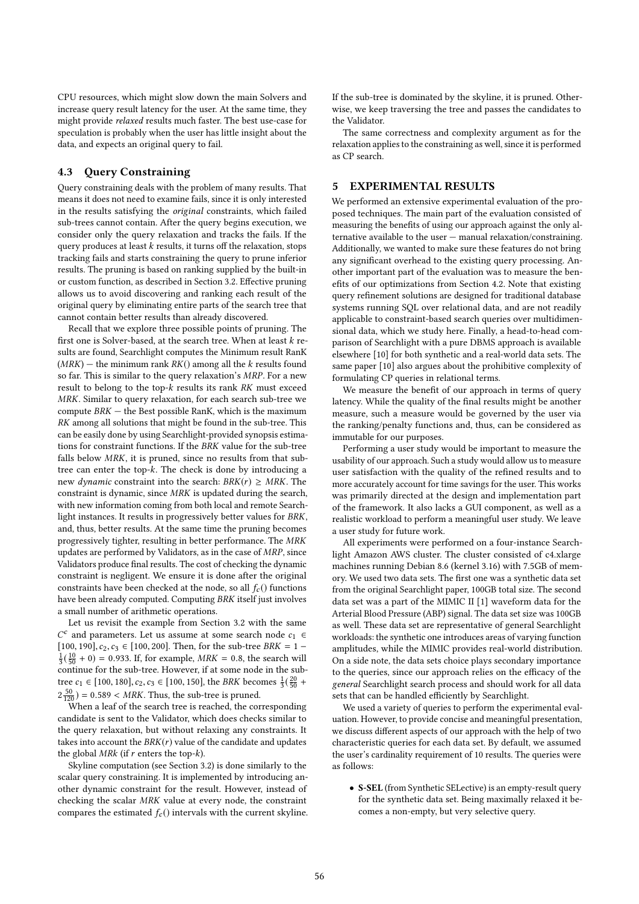CPU resources, which might slow down the main Solvers and increase query result latency for the user. At the same time, they might provide relaxed results much faster. The best use-case for speculation is probably when the user has little insight about the data, and expects an original query to fail.

## 4.3 Query Constraining

Query constraining deals with the problem of many results. That means it does not need to examine fails, since it is only interested in the results satisfying the original constraints, which failed sub-trees cannot contain. After the query begins execution, we consider only the query relaxation and tracks the fails. If the query produces at least  $k$  results, it turns off the relaxation, stops tracking fails and starts constraining the query to prune inferior results. The pruning is based on ranking supplied by the built-in or custom function, as described in Section 3.2. Effective pruning allows us to avoid discovering and ranking each result of the original query by eliminating entire parts of the search tree that cannot contain better results than already discovered.

Recall that we explore three possible points of pruning. The first one is Solver-based, at the search tree. When at least k results are found, Searchlight computes the Minimum result RanK  $(MRK)$  – the minimum rank  $RK()$  among all the k results found so far. This is similar to the query relaxation's MRP. For a new result to belong to the top- $k$  results its rank  $RK$  must exceed MRK. Similar to query relaxation, for each search sub-tree we compute  $BRK -$  the Best possible RanK, which is the maximum RK among all solutions that might be found in the sub-tree. This can be easily done by using Searchlight-provided synopsis estimations for constraint functions. If the BRK value for the sub-tree falls below MRK, it is pruned, since no results from that subtree can enter the top-k. The check is done by introducing a new *dynamic* constraint into the search:  $BRK(r) \geq MRK$ . The constraint is dynamic, since MRK is updated during the search, with new information coming from both local and remote Searchlight instances. It results in progressively better values for BRK, and, thus, better results. At the same time the pruning becomes progressively tighter, resulting in better performance. The MRK updates are performed by Validators, as in the case of MRP, since Validators produce final results. The cost of checking the dynamic constraint is negligent. We ensure it is done after the original constraints have been checked at the node, so all  $f_c()$  functions have been already computed. Computing BRK itself just involves a small number of arithmetic operations.

Let us revisit the example from Section 3.2 with the same [100, 190],  $c_2$ ,  $c_3 \in [100, 200]$ . Then, for the sub-tree BRK = 1 –<br> $\frac{1}{2}(10 + 0) = 0.933$  If for example MBK = 0.8, the search will <sup>c</sup> and parameters. Let us assume at some search node  $c_1 \in$  100, 1901  $c_2 c_2 \in [100, 200]$ . Then for the sub-tree RPK = 1 =  $\frac{1}{3}(\frac{10}{50}+0) = 0.933$ . If, for example,  $MRK = 0.8$ , the search will continue for the sub-tree. However, if at some node in the subtree  $c_1 \in [100, 180], c_2, c_3 \in [100, 150],$  the BRK becomes  $\frac{1}{3}(\frac{20}{50} +$  $2\frac{50}{120}$  = 0.589 < MRK. Thus, the sub-tree is pruned.<br>When a leaf of the search tree is reached, the co

When a leaf of the search tree is reached, the corresponding candidate is sent to the Validator, which does checks similar to the query relaxation, but without relaxing any constraints. It takes into account the  $BRK(r)$  value of the candidate and updates the global  $MRk$  (if  $r$  enters the top- $k$ ).

Skyline computation (see Section 3.2) is done similarly to the scalar query constraining. It is implemented by introducing another dynamic constraint for the result. However, instead of checking the scalar MRK value at every node, the constraint compares the estimated  $f_c()$  intervals with the current skyline. If the sub-tree is dominated by the skyline, it is pruned. Otherwise, we keep traversing the tree and passes the candidates to the Validator.

The same correctness and complexity argument as for the relaxation applies to the constraining as well, since it is performed as CP search.

## 5 EXPERIMENTAL RESULTS

We performed an extensive experimental evaluation of the proposed techniques. The main part of the evaluation consisted of measuring the benefits of using our approach against the only alternative available to the user — manual relaxation/constraining. Additionally, we wanted to make sure these features do not bring any significant overhead to the existing query processing. Another important part of the evaluation was to measure the benefits of our optimizations from Section 4.2. Note that existing query refinement solutions are designed for traditional database systems running SQL over relational data, and are not readily applicable to constraint-based search queries over multidimensional data, which we study here. Finally, a head-to-head comparison of Searchlight with a pure DBMS approach is available elsewhere [10] for both synthetic and a real-world data sets. The same paper [10] also argues about the prohibitive complexity of formulating CP queries in relational terms.

We measure the benefit of our approach in terms of query latency. While the quality of the final results might be another measure, such a measure would be governed by the user via the ranking/penalty functions and, thus, can be considered as immutable for our purposes.

Performing a user study would be important to measure the usability of our approach. Such a study would allow us to measure user satisfaction with the quality of the refined results and to more accurately account for time savings for the user. This works was primarily directed at the design and implementation part of the framework. It also lacks a GUI component, as well as a realistic workload to perform a meaningful user study. We leave a user study for future work.

All experiments were performed on a four-instance Searchlight Amazon AWS cluster. The cluster consisted of c4.xlarge machines running Debian 8.6 (kernel 3.16) with 7.5GB of memory. We used two data sets. The first one was a synthetic data set from the original Searchlight paper, 100GB total size. The second data set was a part of the MIMIC II [1] waveform data for the Arterial Blood Pressure (ABP) signal. The data set size was 100GB as well. These data set are representative of general Searchlight workloads: the synthetic one introduces areas of varying function amplitudes, while the MIMIC provides real-world distribution. On a side note, the data sets choice plays secondary importance to the queries, since our approach relies on the efficacy of the general Searchlight search process and should work for all data sets that can be handled efficiently by Searchlight.

We used a variety of queries to perform the experimental evaluation. However, to provide concise and meaningful presentation, we discuss different aspects of our approach with the help of two characteristic queries for each data set. By default, we assumed the user's cardinality requirement of 10 results. The queries were as follows:

• S-SEL (from Synthetic SELective) is an empty-result query for the synthetic data set. Being maximally relaxed it becomes a non-empty, but very selective query.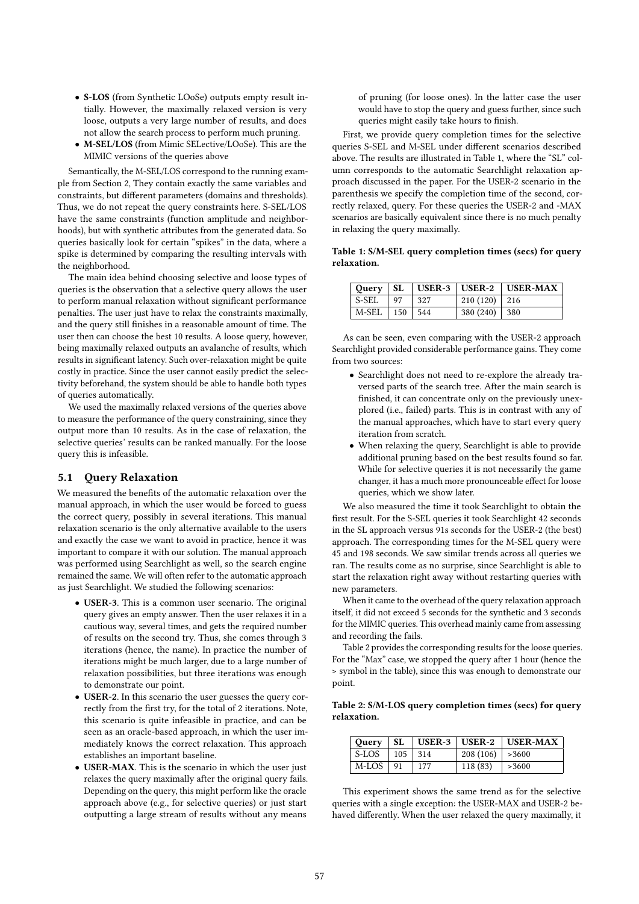- S-LOS (from Synthetic LOoSe) outputs empty result intially. However, the maximally relaxed version is very loose, outputs a very large number of results, and does not allow the search process to perform much pruning.
- M-SEL/LOS (from Mimic SELective/LOoSe). This are the MIMIC versions of the queries above

Semantically, the M-SEL/LOS correspond to the running example from Section 2, They contain exactly the same variables and constraints, but different parameters (domains and thresholds). Thus, we do not repeat the query constraints here. S-SEL/LOS have the same constraints (function amplitude and neighborhoods), but with synthetic attributes from the generated data. So queries basically look for certain "spikes" in the data, where a spike is determined by comparing the resulting intervals with the neighborhood.

The main idea behind choosing selective and loose types of queries is the observation that a selective query allows the user to perform manual relaxation without significant performance penalties. The user just have to relax the constraints maximally, and the query still finishes in a reasonable amount of time. The user then can choose the best 10 results. A loose query, however, being maximally relaxed outputs an avalanche of results, which results in significant latency. Such over-relaxation might be quite costly in practice. Since the user cannot easily predict the selectivity beforehand, the system should be able to handle both types of queries automatically.

We used the maximally relaxed versions of the queries above to measure the performance of the query constraining, since they output more than 10 results. As in the case of relaxation, the selective queries' results can be ranked manually. For the loose query this is infeasible.

## 5.1 Query Relaxation

We measured the benefits of the automatic relaxation over the manual approach, in which the user would be forced to guess the correct query, possibly in several iterations. This manual relaxation scenario is the only alternative available to the users and exactly the case we want to avoid in practice, hence it was important to compare it with our solution. The manual approach was performed using Searchlight as well, so the search engine remained the same. We will often refer to the automatic approach as just Searchlight. We studied the following scenarios:

- USER-3. This is a common user scenario. The original query gives an empty answer. Then the user relaxes it in a cautious way, several times, and gets the required number of results on the second try. Thus, she comes through 3 iterations (hence, the name). In practice the number of iterations might be much larger, due to a large number of relaxation possibilities, but three iterations was enough to demonstrate our point.
- USER-2. In this scenario the user guesses the query correctly from the first try, for the total of 2 iterations. Note, this scenario is quite infeasible in practice, and can be seen as an oracle-based approach, in which the user immediately knows the correct relaxation. This approach establishes an important baseline.
- USER-MAX. This is the scenario in which the user just relaxes the query maximally after the original query fails. Depending on the query, this might perform like the oracle approach above (e.g., for selective queries) or just start outputting a large stream of results without any means

of pruning (for loose ones). In the latter case the user would have to stop the query and guess further, since such queries might easily take hours to finish.

First, we provide query completion times for the selective queries S-SEL and M-SEL under different scenarios described above. The results are illustrated in Table 1, where the "SL" column corresponds to the automatic Searchlight relaxation approach discussed in the paper. For the USER-2 scenario in the parenthesis we specify the completion time of the second, correctly relaxed, query. For these queries the USER-2 and -MAX scenarios are basically equivalent since there is no much penalty in relaxing the query maximally.

Table 1: S/M-SEL query completion times (secs) for query relaxation.

|                     |                                                            |      |                | Ouery   SL   USER-3   USER-2   USER-MAX |
|---------------------|------------------------------------------------------------|------|----------------|-----------------------------------------|
| S-SEL               | $\begin{array}{c} \text{1} \text{ } \text{97} \end{array}$ | .327 | $210(120)$ 216 |                                         |
| $M-SEL$   150   544 |                                                            |      | $380(240)$ 380 |                                         |

As can be seen, even comparing with the USER-2 approach Searchlight provided considerable performance gains. They come from two sources:

- Searchlight does not need to re-explore the already traversed parts of the search tree. After the main search is finished, it can concentrate only on the previously unexplored (i.e., failed) parts. This is in contrast with any of the manual approaches, which have to start every query iteration from scratch.
- When relaxing the query, Searchlight is able to provide additional pruning based on the best results found so far. While for selective queries it is not necessarily the game changer, it has a much more pronounceable effect for loose queries, which we show later.

We also measured the time it took Searchlight to obtain the first result. For the S-SEL queries it took Searchlight 42 seconds in the SL approach versus 91s seconds for the USER-2 (the best) approach. The corresponding times for the M-SEL query were 45 and 198 seconds. We saw similar trends across all queries we ran. The results come as no surprise, since Searchlight is able to start the relaxation right away without restarting queries with new parameters.

When it came to the overhead of the query relaxation approach itself, it did not exceed 5 seconds for the synthetic and 3 seconds for the MIMIC queries. This overhead mainly came from assessing and recording the fails.

Table 2 provides the corresponding results for the loose queries. For the "Max" case, we stopped the query after 1 hour (hence the > symbol in the table), since this was enough to demonstrate our point.

Table 2: S/M-LOS query completion times (secs) for query relaxation.

|            |               |                   | Ouery   SL   USER-3   USER-2   USER-MAX |
|------------|---------------|-------------------|-----------------------------------------|
| l S-LOS -  | $105 \pm 314$ | $208(106)$ > 3600 |                                         |
| M-LOS   91 | 177           | 118 (83)          | >3600                                   |

This experiment shows the same trend as for the selective queries with a single exception: the USER-MAX and USER-2 behaved differently. When the user relaxed the query maximally, it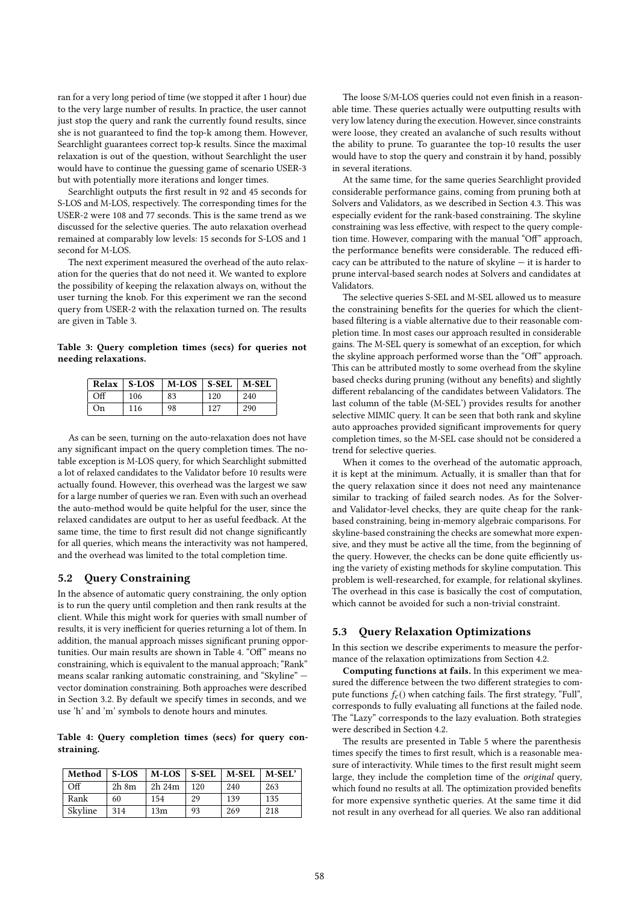ran for a very long period of time (we stopped it after 1 hour) due to the very large number of results. In practice, the user cannot just stop the query and rank the currently found results, since she is not guaranteed to find the top-k among them. However, Searchlight guarantees correct top-k results. Since the maximal relaxation is out of the question, without Searchlight the user would have to continue the guessing game of scenario USER-3 but with potentially more iterations and longer times.

Searchlight outputs the first result in 92 and 45 seconds for S-LOS and M-LOS, respectively. The corresponding times for the USER-2 were 108 and 77 seconds. This is the same trend as we discussed for the selective queries. The auto relaxation overhead remained at comparably low levels: 15 seconds for S-LOS and 1 second for M-LOS.

The next experiment measured the overhead of the auto relaxation for the queries that do not need it. We wanted to explore the possibility of keeping the relaxation always on, without the user turning the knob. For this experiment we ran the second query from USER-2 with the relaxation turned on. The results are given in Table 3.

Table 3: Query completion times (secs) for queries not needing relaxations.

|          | Relax   S-LOS | $\mid$ M-LOS $\mid$ S-SEL $\mid$ M-SEL |     |     |
|----------|---------------|----------------------------------------|-----|-----|
| $\alpha$ | 106           | 83                                     | 120 | 240 |
| On       | 116           | 98                                     | 127 | 290 |

As can be seen, turning on the auto-relaxation does not have any significant impact on the query completion times. The notable exception is M-LOS query, for which Searchlight submitted a lot of relaxed candidates to the Validator before 10 results were actually found. However, this overhead was the largest we saw for a large number of queries we ran. Even with such an overhead the auto-method would be quite helpful for the user, since the relaxed candidates are output to her as useful feedback. At the same time, the time to first result did not change significantly for all queries, which means the interactivity was not hampered, and the overhead was limited to the total completion time.

# 5.2 Query Constraining

In the absence of automatic query constraining, the only option is to run the query until completion and then rank results at the client. While this might work for queries with small number of results, it is very inefficient for queries returning a lot of them. In addition, the manual approach misses significant pruning opportunities. Our main results are shown in Table 4. "Off" means no constraining, which is equivalent to the manual approach; "Rank" means scalar ranking automatic constraining, and "Skyline" vector domination constraining. Both approaches were described in Section 3.2. By default we specify times in seconds, and we use 'h' and 'm' symbols to denote hours and minutes.

Table 4: Query completion times (secs) for query constraining.

| Method  | $\overline{\phantom{a}}$ S-LOS | $\mid$ M-LOS $\mid$ S-SEL $\mid$ M-SEL |     |     | M-SEL' |
|---------|--------------------------------|----------------------------------------|-----|-----|--------|
| Off     | $2h \, 8m$                     | 2h 24m                                 | 120 | 240 | 263    |
| Rank    | 60                             | 154                                    | 29  | 139 | 135    |
| Skyline | 314                            | 13m                                    | 93  | 269 | 218    |

The loose S/M-LOS queries could not even finish in a reasonable time. These queries actually were outputting results with very low latency during the execution. However, since constraints were loose, they created an avalanche of such results without the ability to prune. To guarantee the top-10 results the user would have to stop the query and constrain it by hand, possibly in several iterations.

At the same time, for the same queries Searchlight provided considerable performance gains, coming from pruning both at Solvers and Validators, as we described in Section 4.3. This was especially evident for the rank-based constraining. The skyline constraining was less effective, with respect to the query completion time. However, comparing with the manual "Off" approach, the performance benefits were considerable. The reduced efficacy can be attributed to the nature of skyline — it is harder to prune interval-based search nodes at Solvers and candidates at Validators.

The selective queries S-SEL and M-SEL allowed us to measure the constraining benefits for the queries for which the clientbased filtering is a viable alternative due to their reasonable completion time. In most cases our approach resulted in considerable gains. The M-SEL query is somewhat of an exception, for which the skyline approach performed worse than the "Off" approach. This can be attributed mostly to some overhead from the skyline based checks during pruning (without any benefits) and slightly different rebalancing of the candidates between Validators. The last column of the table (M-SEL') provides results for another selective MIMIC query. It can be seen that both rank and skyline auto approaches provided significant improvements for query completion times, so the M-SEL case should not be considered a trend for selective queries.

When it comes to the overhead of the automatic approach, it is kept at the minimum. Actually, it is smaller than that for the query relaxation since it does not need any maintenance similar to tracking of failed search nodes. As for the Solverand Validator-level checks, they are quite cheap for the rankbased constraining, being in-memory algebraic comparisons. For skyline-based constraining the checks are somewhat more expensive, and they must be active all the time, from the beginning of the query. However, the checks can be done quite efficiently using the variety of existing methods for skyline computation. This problem is well-researched, for example, for relational skylines. The overhead in this case is basically the cost of computation, which cannot be avoided for such a non-trivial constraint.

#### 5.3 Query Relaxation Optimizations

In this section we describe experiments to measure the performance of the relaxation optimizations from Section 4.2.

Computing functions at fails. In this experiment we measured the difference between the two different strategies to compute functions  $f_c()$  when catching fails. The first strategy, "Full", corresponds to fully evaluating all functions at the failed node. The "Lazy" corresponds to the lazy evaluation. Both strategies were described in Section 4.2.

The results are presented in Table 5 where the parenthesis times specify the times to first result, which is a reasonable measure of interactivity. While times to the first result might seem large, they include the completion time of the original query, which found no results at all. The optimization provided benefits for more expensive synthetic queries. At the same time it did not result in any overhead for all queries. We also ran additional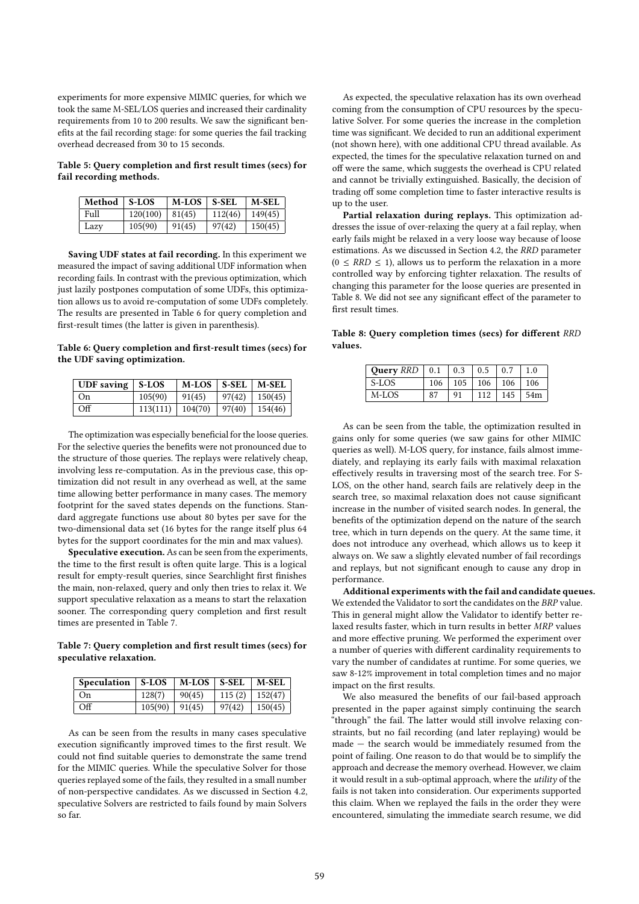experiments for more expensive MIMIC queries, for which we took the same M-SEL/LOS queries and increased their cardinality requirements from 10 to 200 results. We saw the significant benefits at the fail recording stage: for some queries the fail tracking overhead decreased from 30 to 15 seconds.

Table 5: Query completion and first result times (secs) for fail recording methods.

| Method   S-LOS |          | <b>M-LOS</b> | $\mid$ S-SEL | <b>M-SEL</b> |
|----------------|----------|--------------|--------------|--------------|
| Full           | 120(100) | 81(45)       | 112(46)      | 149(45)      |
| Lazy           | 105(90)  | 91(45)       | 97(42)       | 150(45)      |

Saving UDF states at fail recording. In this experiment we measured the impact of saving additional UDF information when recording fails. In contrast with the previous optimization, which just lazily postpones computation of some UDFs, this optimization allows us to avoid re-computation of some UDFs completely. The results are presented in Table 6 for query completion and first-result times (the latter is given in parenthesis).

Table 6: Query completion and first-result times (secs) for the UDF saving optimization.

| UDF saving $\vert$ S-LOS |                    | $M-LOS$   S-SEL   $M-SEL$ |                  |                    |
|--------------------------|--------------------|---------------------------|------------------|--------------------|
| ∣ On                     | 105(90)            | 91(45)                    |                  | $97(42)$   150(45) |
| - Off                    | $113(111)$ 104(70) |                           | $97(40)$ 154(46) |                    |

The optimization was especially beneficial for the loose queries. For the selective queries the benefits were not pronounced due to the structure of those queries. The replays were relatively cheap, involving less re-computation. As in the previous case, this optimization did not result in any overhead as well, at the same time allowing better performance in many cases. The memory footprint for the saved states depends on the functions. Standard aggregate functions use about 80 bytes per save for the two-dimensional data set (16 bytes for the range itself plus 64 bytes for the support coordinates for the min and max values).

Speculative execution. As can be seen from the experiments, the time to the first result is often quite large. This is a logical result for empty-result queries, since Searchlight first finishes the main, non-relaxed, query and only then tries to relax it. We support speculative relaxation as a means to start the relaxation sooner. The corresponding query completion and first result times are presented in Table 7.

Table 7: Query completion and first result times (secs) for speculative relaxation.

| Speculation $\vert$ S-LOS |                    | $\vert$ M-LOS $\vert$ S-SEL $\vert$ M-SEL |                              |  |
|---------------------------|--------------------|-------------------------------------------|------------------------------|--|
| On                        | 128(7)             | 90(45)                                    | 115 (2)   152(47)            |  |
| Off                       | $105(90)$   91(45) |                                           | $\mid$ 97(42) $\mid$ 150(45) |  |

As can be seen from the results in many cases speculative execution significantly improved times to the first result. We could not find suitable queries to demonstrate the same trend for the MIMIC queries. While the speculative Solver for those queries replayed some of the fails, they resulted in a small number of non-perspective candidates. As we discussed in Section 4.2, speculative Solvers are restricted to fails found by main Solvers so far.

As expected, the speculative relaxation has its own overhead coming from the consumption of CPU resources by the speculative Solver. For some queries the increase in the completion time was significant. We decided to run an additional experiment (not shown here), with one additional CPU thread available. As expected, the times for the speculative relaxation turned on and off were the same, which suggests the overhead is CPU related and cannot be trivially extinguished. Basically, the decision of trading off some completion time to faster interactive results is up to the user.

Partial relaxation during replays. This optimization addresses the issue of over-relaxing the query at a fail replay, when early fails might be relaxed in a very loose way because of loose estimations. As we discussed in Section 4.2, the RRD parameter  $(0 \leq RRD \leq 1)$ , allows us to perform the relaxation in a more controlled way by enforcing tighter relaxation. The results of changing this parameter for the loose queries are presented in Table 8. We did not see any significant effect of the parameter to first result times.

Table 8: Query completion times (secs) for different RRD values.

| Query $RRD$   0.1 |     | $\vert 0.3$ | $\pm 0.5$ | 0.7 | 1.0 |
|-------------------|-----|-------------|-----------|-----|-----|
| S-LOS             | 106 | 105         | 106       | 106 | 106 |
| M-LOS             |     | 91          | 112       | 145 | 54m |

As can be seen from the table, the optimization resulted in gains only for some queries (we saw gains for other MIMIC queries as well). M-LOS query, for instance, fails almost immediately, and replaying its early fails with maximal relaxation effectively results in traversing most of the search tree. For S-LOS, on the other hand, search fails are relatively deep in the search tree, so maximal relaxation does not cause significant increase in the number of visited search nodes. In general, the benefits of the optimization depend on the nature of the search tree, which in turn depends on the query. At the same time, it does not introduce any overhead, which allows us to keep it always on. We saw a slightly elevated number of fail recordings and replays, but not significant enough to cause any drop in performance.

Additional experiments with the fail and candidate queues. We extended the Validator to sort the candidates on the BRP value. This in general might allow the Validator to identify better relaxed results faster, which in turn results in better MRP values and more effective pruning. We performed the experiment over a number of queries with different cardinality requirements to vary the number of candidates at runtime. For some queries, we saw 8-12% improvement in total completion times and no major impact on the first results.

We also measured the benefits of our fail-based approach presented in the paper against simply continuing the search "through" the fail. The latter would still involve relaxing constraints, but no fail recording (and later replaying) would be made — the search would be immediately resumed from the point of failing. One reason to do that would be to simplify the approach and decrease the memory overhead. However, we claim it would result in a sub-optimal approach, where the utility of the fails is not taken into consideration. Our experiments supported this claim. When we replayed the fails in the order they were encountered, simulating the immediate search resume, we did